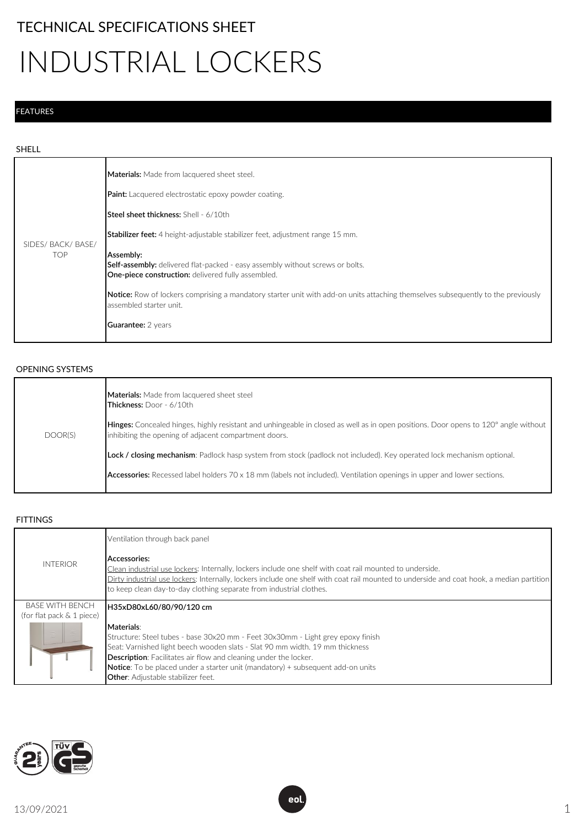## TECHNICAL SPECIFICATIONS SHEET

# INDUSTRIAL LOCKERS

#### FEATURES

#### SHELL

| SIDES/ BACK/ BASE/<br>TOP | Materials: Made from lacquered sheet steel.<br>Paint: Lacquered electrostatic epoxy powder coating.                                                                |
|---------------------------|--------------------------------------------------------------------------------------------------------------------------------------------------------------------|
|                           | <b>Steel sheet thickness: Shell - 6/10th</b><br><b>Stabilizer feet:</b> 4 height-adjustable stabilizer feet, adjustment range 15 mm.                               |
|                           | Assembly:<br><b>Self-assembly:</b> delivered flat-packed - easy assembly without screws or bolts.<br><b>One-piece construction:</b> delivered fully assembled.     |
|                           | <b>Notice:</b> Row of lockers comprising a mandatory starter unit with add-on units attaching themselves subsequently to the previously<br>assembled starter unit. |
|                           | <b>Guarantee:</b> 2 years                                                                                                                                          |

#### OPENING SYSTEMS

| DOOR(S) | <b>Materials:</b> Made from lacquered sheet steel<br><b>Thickness: Door - 6/10th</b><br>Hinges: Concealed hinges, highly resistant and unhingeable in closed as well as in open positions. Door opens to 120° angle without<br>inhibiting the opening of adjacent compartment doors. |
|---------|--------------------------------------------------------------------------------------------------------------------------------------------------------------------------------------------------------------------------------------------------------------------------------------|
|         | Lock / closing mechanism: Padlock hasp system from stock (padlock not included). Key operated lock mechanism optional.<br><b>Accessories:</b> Recessed label holders 70 x 18 mm (labels not included). Ventilation openings in upper and lower sections.                             |

#### **FITTINGS**

|                           | Ventilation through back panel                                                                                                                                                                                                                                                                                                                                                                  |
|---------------------------|-------------------------------------------------------------------------------------------------------------------------------------------------------------------------------------------------------------------------------------------------------------------------------------------------------------------------------------------------------------------------------------------------|
| <b>INTERIOR</b>           | Accessories:<br>Clean industrial use lockers: Internally, lockers include one shelf with coat rail mounted to underside.<br>Dirty industrial use lockers: Internally, lockers include one shelf with coat rail mounted to underside and coat hook, a median partition<br>to keep clean day-to-day clothing separate from industrial clothes.                                                    |
| <b>BASE WITH BENCH</b>    | H35xD80xL60/80/90/120 cm                                                                                                                                                                                                                                                                                                                                                                        |
| (for flat pack & 1 piece) |                                                                                                                                                                                                                                                                                                                                                                                                 |
|                           | Materials:<br>Structure: Steel tubes - base 30x20 mm - Feet 30x30mm - Light grey epoxy finish<br>Seat: Varnished light beech wooden slats - Slat 90 mm width. 19 mm thickness<br><b>Description:</b> Facilitates air flow and cleaning under the locker.<br><b>Notice:</b> To be placed under a starter unit (mandatory) + subsequent add-on units<br><b>Other:</b> Adjustable stabilizer feet. |

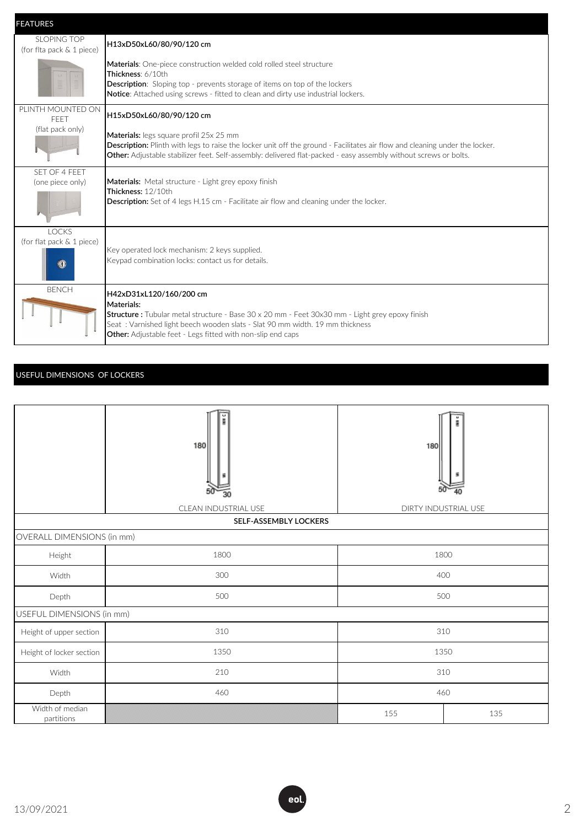| <b>FEATURES</b>                                        |                                                                                                                                                                                                                                                                                                   |
|--------------------------------------------------------|---------------------------------------------------------------------------------------------------------------------------------------------------------------------------------------------------------------------------------------------------------------------------------------------------|
| SLOPING TOP<br>(for flta pack & 1 piece)               | H13xD50xL60/80/90/120 cm                                                                                                                                                                                                                                                                          |
|                                                        | Materials: One-piece construction welded cold rolled steel structure<br>Thickness: 6/10th<br><b>Description:</b> Sloping top - prevents storage of items on top of the lockers<br>Notice: Attached using screws - fitted to clean and dirty use industrial lockers.                               |
| PLINTH MOUNTED ON<br><b>FFFT</b>                       | H15xD50xL60/80/90/120 cm                                                                                                                                                                                                                                                                          |
| (flat pack only)                                       | Materials: legs square profil 25x 25 mm<br><b>Description:</b> Plinth with legs to raise the locker unit off the ground - Facilitates air flow and cleaning under the locker.<br>Other: Adjustable stabilizer feet. Self-assembly: delivered flat-packed - easy assembly without screws or bolts. |
| SFT OF 4 FFFT<br>(one piece only)                      | Materials: Metal structure - Light grey epoxy finish<br>Thickness: 12/10th<br><b>Description:</b> Set of 4 legs H.15 cm - Facilitate air flow and cleaning under the locker.                                                                                                                      |
| <b>LOCKS</b><br>(for flat pack & 1 piece)<br><b>KD</b> | Key operated lock mechanism: 2 keys supplied.<br>Keypad combination locks: contact us for details.                                                                                                                                                                                                |
| <b>BENCH</b>                                           | H42xD31xL120/160/200 cm<br>Materials:<br><b>Structure</b> : Tubular metal structure - Base 30 x 20 mm - Feet 30x30 mm - Light grey epoxy finish<br>Seat: Varnished light beech wooden slats - Slat 90 mm width. 19 mm thickness<br>Other: Adjustable feet - Legs fitted with non-slip end caps    |

### USEFUL DIMENSIONS OF LOCKERS

|                               | 180                  | 180                  |     |  |
|-------------------------------|----------------------|----------------------|-----|--|
|                               | CLEAN INDUSTRIAL USE | DIRTY INDUSTRIAL USE |     |  |
| SELF-ASSEMBLY LOCKERS         |                      |                      |     |  |
| OVERALL DIMENSIONS (in mm)    |                      |                      |     |  |
| Height                        | 1800                 | 1800                 |     |  |
| Width                         | 300                  | 400                  |     |  |
| Depth                         | 500                  | 500                  |     |  |
| USEFUL DIMENSIONS (in mm)     |                      |                      |     |  |
| Height of upper section       | 310                  | 310                  |     |  |
| Height of locker section      | 1350                 | 1350                 |     |  |
| Width                         | 210                  | 310                  |     |  |
| Depth                         | 460                  | 460                  |     |  |
| Width of median<br>partitions |                      | 155                  | 135 |  |